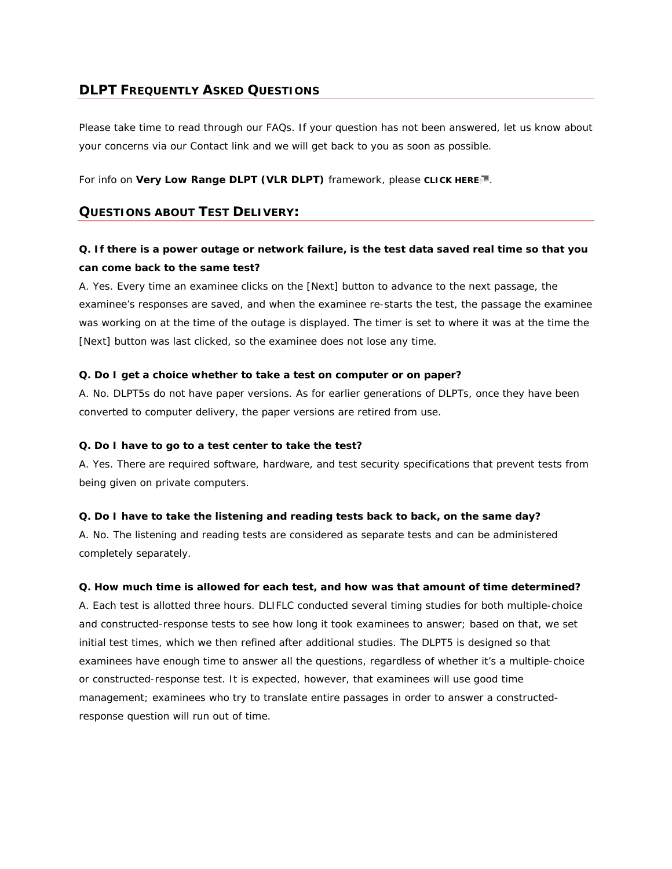# **DLPT FREQUENTLY ASKED QUESTIONS**

Please take time to read through our FAQs. If your question has not been answered, let us know about your concerns via our Contact link and we will get back to you as soon as possible.

For info on **Very Low Range DLPT (VLR DLPT)** framework, please **CLICK HERE** .

# **QUESTIONS ABOUT TEST DELIVERY:**

# **Q. If there is a power outage or network failure, is the test data saved real time so that you can come back to the same test?**

A. Yes. Every time an examinee clicks on the [Next] button to advance to the next passage, the examinee's responses are saved, and when the examinee re-starts the test, the passage the examinee was working on at the time of the outage is displayed. The timer is set to where it was at the time the [Next] button was last clicked, so the examinee does not lose any time.

### **Q. Do I get a choice whether to take a test on computer or on paper?**

A. No. DLPT5s do not have paper versions. As for earlier generations of DLPTs, once they have been converted to computer delivery, the paper versions are retired from use.

### **Q. Do I have to go to a test center to take the test?**

A. Yes. There are required software, hardware, and test security specifications that prevent tests from being given on private computers.

### **Q. Do I have to take the listening and reading tests back to back, on the same day?**

A. No. The listening and reading tests are considered as separate tests and can be administered completely separately.

### **Q. How much time is allowed for each test, and how was that amount of time determined?**

A. Each test is allotted three hours. DLIFLC conducted several timing studies for both multiple-choice and constructed-response tests to see how long it took examinees to answer; based on that, we set initial test times, which we then refined after additional studies. The DLPT5 is designed so that examinees have enough time to answer all the questions, regardless of whether it's a multiple-choice or constructed-response test. It is expected, however, that examinees will use good time management; examinees who try to translate entire passages in order to answer a constructedresponse question will run out of time.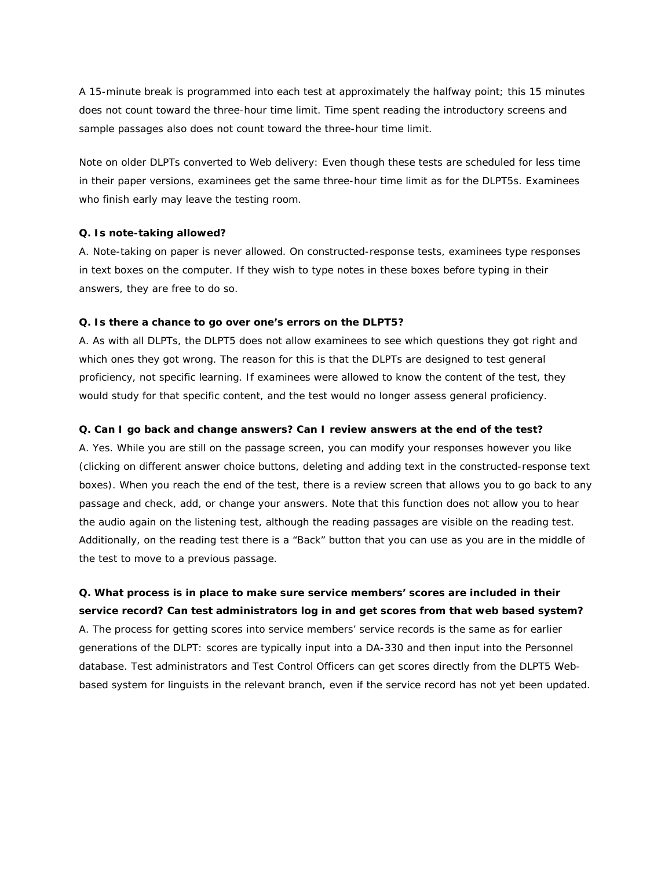A 15-minute break is programmed into each test at approximately the halfway point; this 15 minutes does not count toward the three-hour time limit. Time spent reading the introductory screens and sample passages also does not count toward the three-hour time limit.

Note on older DLPTs converted to Web delivery: Even though these tests are scheduled for less time in their paper versions, examinees get the same three-hour time limit as for the DLPT5s. Examinees who finish early may leave the testing room.

#### **Q. Is note-taking allowed?**

A. Note-taking on paper is never allowed. On constructed-response tests, examinees type responses in text boxes on the computer. If they wish to type notes in these boxes before typing in their answers, they are free to do so.

#### **Q. Is there a chance to go over one's errors on the DLPT5?**

A. As with all DLPTs, the DLPT5 does not allow examinees to see which questions they got right and which ones they got wrong. The reason for this is that the DLPTs are designed to test general proficiency, not specific learning. If examinees were allowed to know the content of the test, they would study for that specific content, and the test would no longer assess general proficiency.

#### **Q. Can I go back and change answers? Can I review answers at the end of the test?**

A. Yes. While you are still on the passage screen, you can modify your responses however you like (clicking on different answer choice buttons, deleting and adding text in the constructed-response text boxes). When you reach the end of the test, there is a review screen that allows you to go back to any passage and check, add, or change your answers. Note that this function does not allow you to hear the audio again on the listening test, although the reading passages are visible on the reading test. Additionally, on the reading test there is a "Back" button that you can use as you are in the middle of the test to move to a previous passage.

**Q. What process is in place to make sure service members' scores are included in their service record? Can test administrators log in and get scores from that web based system?** A. The process for getting scores into service members' service records is the same as for earlier generations of the DLPT: scores are typically input into a DA-330 and then input into the Personnel database. Test administrators and Test Control Officers can get scores directly from the DLPT5 Webbased system for linguists in the relevant branch, even if the service record has not yet been updated.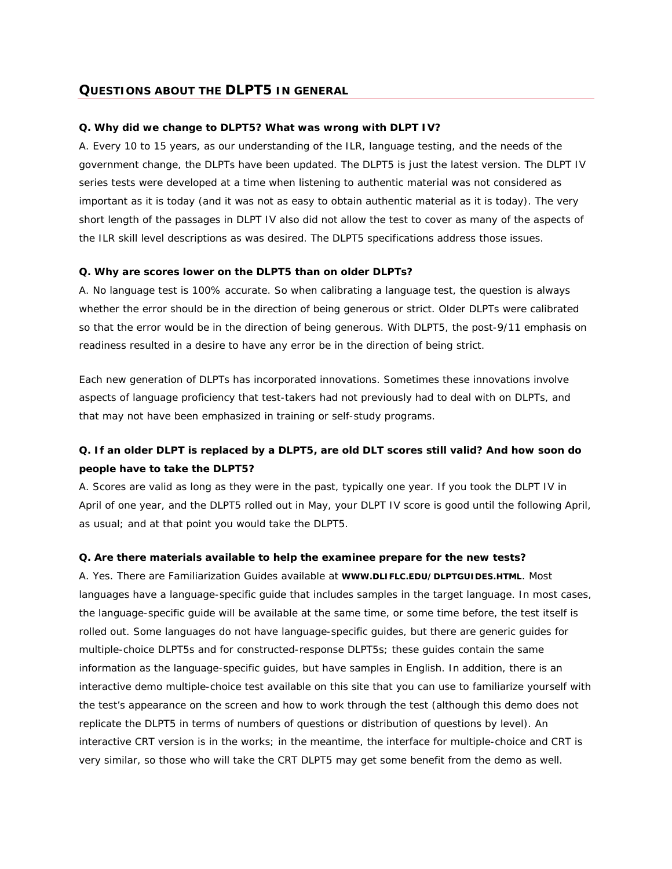# **QUESTIONS ABOUT THE DLPT5 IN GENERAL**

#### **Q. Why did we change to DLPT5? What was wrong with DLPT IV?**

A. Every 10 to 15 years, as our understanding of the ILR, language testing, and the needs of the government change, the DLPTs have been updated. The DLPT5 is just the latest version. The DLPT IV series tests were developed at a time when listening to authentic material was not considered as important as it is today (and it was not as easy to obtain authentic material as it is today). The very short length of the passages in DLPT IV also did not allow the test to cover as many of the aspects of the ILR skill level descriptions as was desired. The DLPT5 specifications address those issues.

#### **Q. Why are scores lower on the DLPT5 than on older DLPTs?**

A. No language test is 100% accurate. So when calibrating a language test, the question is always whether the error should be in the direction of being generous or strict. Older DLPTs were calibrated so that the error would be in the direction of being generous. With DLPT5, the post-9/11 emphasis on readiness resulted in a desire to have any error be in the direction of being strict.

Each new generation of DLPTs has incorporated innovations. Sometimes these innovations involve aspects of language proficiency that test-takers had not previously had to deal with on DLPTs, and that may not have been emphasized in training or self-study programs.

# **Q. If an older DLPT is replaced by a DLPT5, are old DLT scores still valid? And how soon do people have to take the DLPT5?**

A. Scores are valid as long as they were in the past, typically one year. If you took the DLPT IV in April of one year, and the DLPT5 rolled out in May, your DLPT IV score is good until the following April, as usual; and at that point you would take the DLPT5.

#### **Q. Are there materials available to help the examinee prepare for the new tests?**

A. Yes. There are Familiarization Guides available at **WWW.DLIFLC.EDU/DLPTGUIDES.HTML**. Most languages have a language-specific guide that includes samples in the target language. In most cases, the language-specific guide will be available at the same time, or some time before, the test itself is rolled out. Some languages do not have language-specific guides, but there are generic guides for multiple-choice DLPT5s and for constructed-response DLPT5s; these guides contain the same information as the language-specific guides, but have samples in English. In addition, there is an interactive demo multiple-choice test available on this site that you can use to familiarize yourself with the test's appearance on the screen and how to work through the test (although this demo does not replicate the DLPT5 in terms of numbers of questions or distribution of questions by level). An interactive CRT version is in the works; in the meantime, the interface for multiple-choice and CRT is very similar, so those who will take the CRT DLPT5 may get some benefit from the demo as well.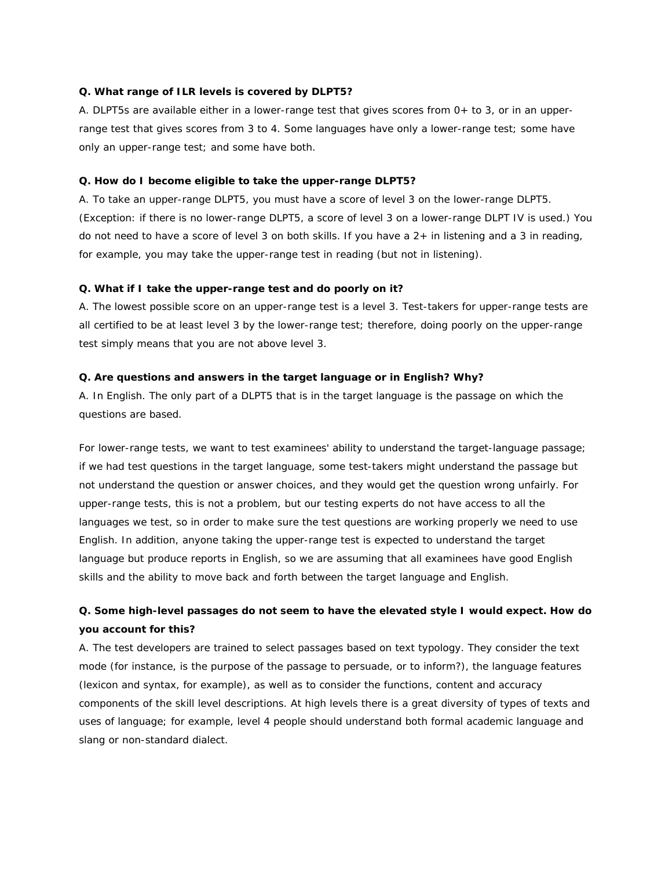#### **Q. What range of ILR levels is covered by DLPT5?**

A. DLPT5s are available either in a lower-range test that gives scores from 0+ to 3, or in an upperrange test that gives scores from 3 to 4. Some languages have only a lower-range test; some have only an upper-range test; and some have both.

## **Q. How do I become eligible to take the upper-range DLPT5?**

A. To take an upper-range DLPT5, you must have a score of level 3 on the lower-range DLPT5. (Exception: if there is no lower-range DLPT5, a score of level 3 on a lower-range DLPT IV is used.) You do not need to have a score of level 3 on both skills. If you have a 2+ in listening and a 3 in reading, for example, you may take the upper-range test in reading (but not in listening).

# **Q. What if I take the upper-range test and do poorly on it?**

A. The lowest possible score on an upper-range test is a level 3. Test-takers for upper-range tests are all certified to be at least level 3 by the lower-range test; therefore, doing poorly on the upper-range test simply means that you are not above level 3.

#### **Q. Are questions and answers in the target language or in English? Why?**

A. In English. The only part of a DLPT5 that is in the target language is the passage on which the questions are based.

For lower-range tests, we want to test examinees' ability to understand the target-language passage; if we had test questions in the target language, some test-takers might understand the passage but not understand the question or answer choices, and they would get the question wrong unfairly. For upper-range tests, this is not a problem, but our testing experts do not have access to all the languages we test, so in order to make sure the test questions are working properly we need to use English. In addition, anyone taking the upper-range test is expected to understand the target language but produce reports in English, so we are assuming that all examinees have good English skills and the ability to move back and forth between the target language and English.

# **Q. Some high-level passages do not seem to have the elevated style I would expect. How do you account for this?**

A. The test developers are trained to select passages based on text typology. They consider the text mode (for instance, is the purpose of the passage to persuade, or to inform?), the language features (lexicon and syntax, for example), as well as to consider the functions, content and accuracy components of the skill level descriptions. At high levels there is a great diversity of types of texts and uses of language; for example, level 4 people should understand both formal academic language and slang or non-standard dialect.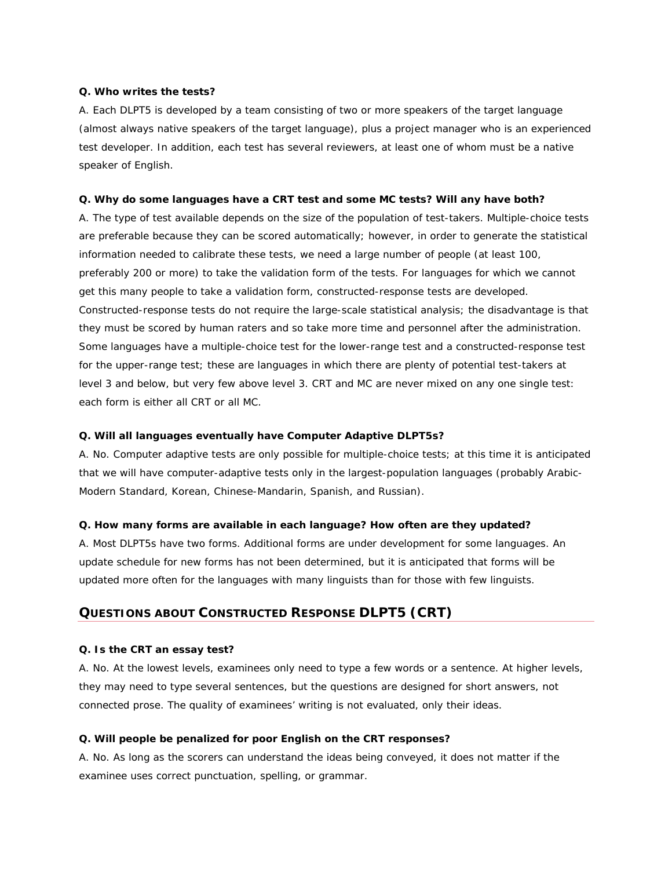#### **Q. Who writes the tests?**

A. Each DLPT5 is developed by a team consisting of two or more speakers of the target language (almost always native speakers of the target language), plus a project manager who is an experienced test developer. In addition, each test has several reviewers, at least one of whom must be a native speaker of English.

## **Q. Why do some languages have a CRT test and some MC tests? Will any have both?**

A. The type of test available depends on the size of the population of test-takers. Multiple-choice tests are preferable because they can be scored automatically; however, in order to generate the statistical information needed to calibrate these tests, we need a large number of people (at least 100, preferably 200 or more) to take the validation form of the tests. For languages for which we cannot get this many people to take a validation form, constructed-response tests are developed. Constructed-response tests do not require the large-scale statistical analysis; the disadvantage is that they must be scored by human raters and so take more time and personnel after the administration. Some languages have a multiple-choice test for the lower-range test and a constructed-response test for the upper-range test; these are languages in which there are plenty of potential test-takers at level 3 and below, but very few above level 3. CRT and MC are never mixed on any one single test: each form is either all CRT or all MC.

## **Q. Will all languages eventually have Computer Adaptive DLPT5s?**

A. No. Computer adaptive tests are only possible for multiple-choice tests; at this time it is anticipated that we will have computer-adaptive tests only in the largest-population languages (probably Arabic-Modern Standard, Korean, Chinese-Mandarin, Spanish, and Russian).

### **Q. How many forms are available in each language? How often are they updated?**

A. Most DLPT5s have two forms. Additional forms are under development for some languages. An update schedule for new forms has not been determined, but it is anticipated that forms will be updated more often for the languages with many linguists than for those with few linguists.

# **QUESTIONS ABOUT CONSTRUCTED RESPONSE DLPT5 (CRT)**

#### **Q. Is the CRT an essay test?**

A. No. At the lowest levels, examinees only need to type a few words or a sentence. At higher levels, they may need to type several sentences, but the questions are designed for short answers, not connected prose. The quality of examinees' writing is not evaluated, only their ideas.

#### **Q. Will people be penalized for poor English on the CRT responses?**

A. No. As long as the scorers can understand the ideas being conveyed, it does not matter if the examinee uses correct punctuation, spelling, or grammar.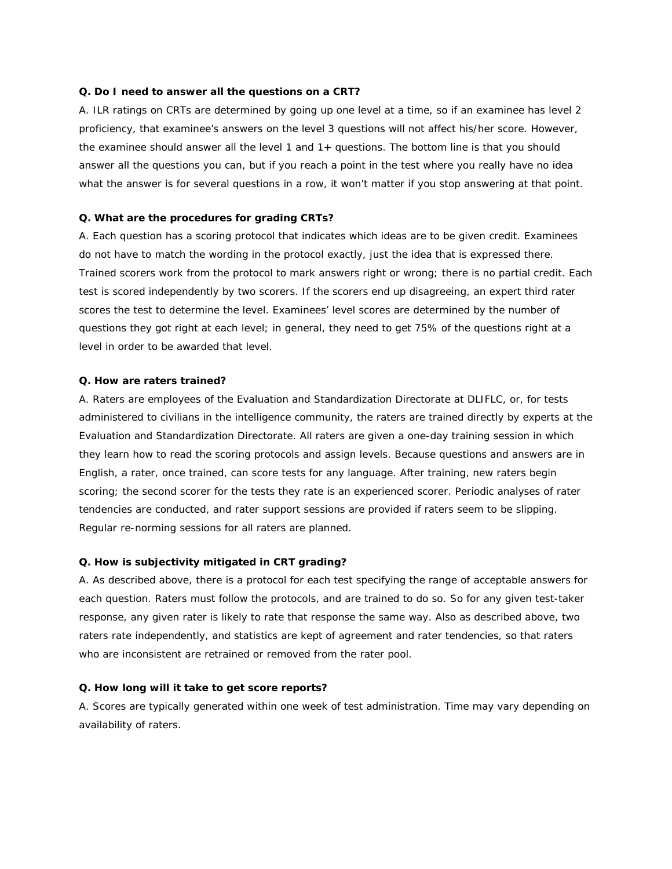#### **Q. Do I need to answer all the questions on a CRT?**

A. ILR ratings on CRTs are determined by going up one level at a time, so if an examinee has level 2 proficiency, that examinee's answers on the level 3 questions will not affect his/her score. However, the examinee should answer all the level 1 and 1+ questions. The bottom line is that you should answer all the questions you can, but if you reach a point in the test where you really have no idea what the answer is for several questions in a row, it won't matter if you stop answering at that point.

## **Q. What are the procedures for grading CRTs?**

A. Each question has a scoring protocol that indicates which ideas are to be given credit. Examinees do not have to match the wording in the protocol exactly, just the idea that is expressed there. Trained scorers work from the protocol to mark answers right or wrong; there is no partial credit. Each test is scored independently by two scorers. If the scorers end up disagreeing, an expert third rater scores the test to determine the level. Examinees' level scores are determined by the number of questions they got right at each level; in general, they need to get 75% of the questions right at a level in order to be awarded that level.

### **Q. How are raters trained?**

A. Raters are employees of the Evaluation and Standardization Directorate at DLIFLC, or, for tests administered to civilians in the intelligence community, the raters are trained directly by experts at the Evaluation and Standardization Directorate. All raters are given a one-day training session in which they learn how to read the scoring protocols and assign levels. Because questions and answers are in English, a rater, once trained, can score tests for any language. After training, new raters begin scoring; the second scorer for the tests they rate is an experienced scorer. Periodic analyses of rater tendencies are conducted, and rater support sessions are provided if raters seem to be slipping. Regular re-norming sessions for all raters are planned.

### **Q. How is subjectivity mitigated in CRT grading?**

A. As described above, there is a protocol for each test specifying the range of acceptable answers for each question. Raters must follow the protocols, and are trained to do so. So for any given test-taker response, any given rater is likely to rate that response the same way. Also as described above, two raters rate independently, and statistics are kept of agreement and rater tendencies, so that raters who are inconsistent are retrained or removed from the rater pool.

### **Q. How long will it take to get score reports?**

A. Scores are typically generated within one week of test administration. Time may vary depending on availability of raters.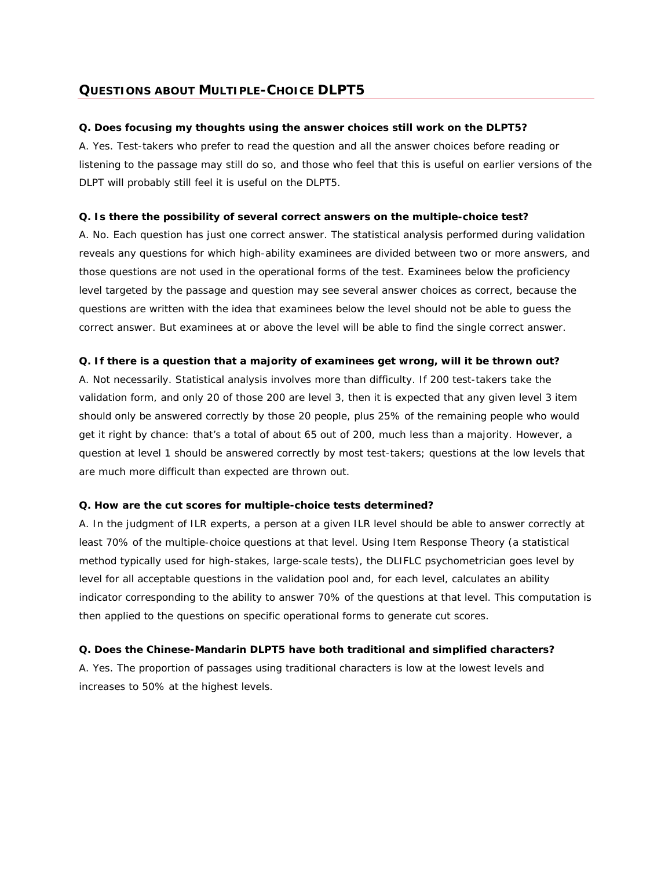# **QUESTIONS ABOUT MULTIPLE-CHOICE DLPT5**

## **Q. Does focusing my thoughts using the answer choices still work on the DLPT5?**

A. Yes. Test-takers who prefer to read the question and all the answer choices before reading or listening to the passage may still do so, and those who feel that this is useful on earlier versions of the DLPT will probably still feel it is useful on the DLPT5.

## **Q. Is there the possibility of several correct answers on the multiple-choice test?**

A. No. Each question has just one correct answer. The statistical analysis performed during validation reveals any questions for which high-ability examinees are divided between two or more answers, and those questions are not used in the operational forms of the test. Examinees below the proficiency level targeted by the passage and question may see several answer choices as correct, because the questions are written with the idea that examinees below the level should not be able to guess the correct answer. But examinees at or above the level will be able to find the single correct answer.

## **Q. If there is a question that a majority of examinees get wrong, will it be thrown out?**

A. Not necessarily. Statistical analysis involves more than difficulty. If 200 test-takers take the validation form, and only 20 of those 200 are level 3, then it is expected that any given level 3 item should only be answered correctly by those 20 people, plus 25% of the remaining people who would get it right by chance: that's a total of about 65 out of 200, much less than a majority. However, a question at level 1 should be answered correctly by most test-takers; questions at the low levels that are much more difficult than expected are thrown out.

### **Q. How are the cut scores for multiple-choice tests determined?**

A. In the judgment of ILR experts, a person at a given ILR level should be able to answer correctly at least 70% of the multiple-choice questions at that level. Using Item Response Theory (a statistical method typically used for high-stakes, large-scale tests), the DLIFLC psychometrician goes level by level for all acceptable questions in the validation pool and, for each level, calculates an ability indicator corresponding to the ability to answer 70% of the questions at that level. This computation is then applied to the questions on specific operational forms to generate cut scores.

# **Q. Does the Chinese-Mandarin DLPT5 have both traditional and simplified characters?**

A. Yes. The proportion of passages using traditional characters is low at the lowest levels and increases to 50% at the highest levels.